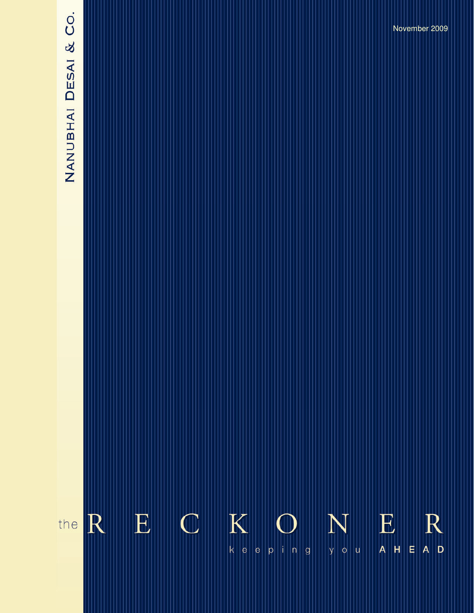# NANUBHAI DESAI & CO.

November 2009

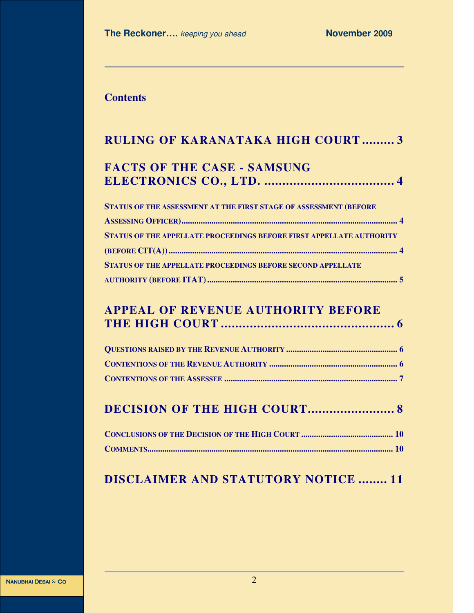# **Contents**

| RULING OF KARANATAKA HIGH COURT 3                                           |  |  |
|-----------------------------------------------------------------------------|--|--|
| <b>FACTS OF THE CASE - SAMSUNG</b>                                          |  |  |
| STATUS OF THE ASSESSMENT AT THE FIRST STAGE OF ASSESSMENT (BEFORE           |  |  |
| <b>STATUS OF THE APPELLATE PROCEEDINGS BEFORE FIRST APPELLATE AUTHORITY</b> |  |  |
| <b>STATUS OF THE APPELLATE PROCEEDINGS BEFORE SECOND APPELLATE</b>          |  |  |
|                                                                             |  |  |

# **APPEAL OF REVENUE AUTHORITY BEFORE THE HIGH COURT ................................................ 6**

|  |  |  | <b>DECISION OF THE HIGH COURT 8</b> |
|--|--|--|-------------------------------------|
|--|--|--|-------------------------------------|

# **DISCLAIMER AND STATUTORY NOTICE ........ 11**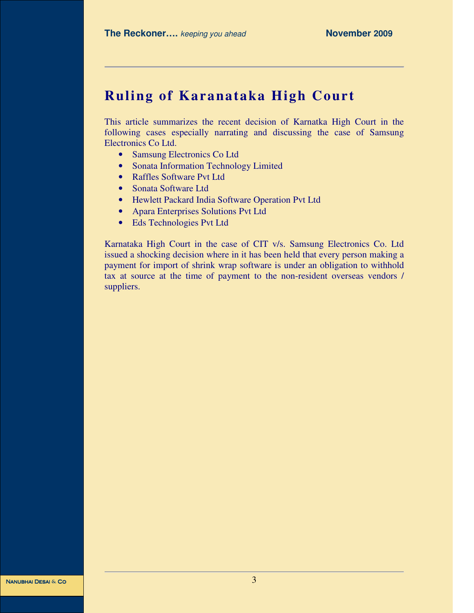# **Ruling of Karanataka High Court**

This article summarizes the recent decision of Karnatka High Court in the following cases especially narrating and discussing the case of Samsung Electronics Co Ltd.

- Samsung Electronics Co Ltd
- Sonata Information Technology Limited
- Raffles Software Pvt Ltd
- Sonata Software Ltd
- Hewlett Packard India Software Operation Pvt Ltd
- Apara Enterprises Solutions Pvt Ltd
- Eds Technologies Pvt Ltd

Karnataka High Court in the case of CIT v/s. Samsung Electronics Co. Ltd issued a shocking decision where in it has been held that every person making a payment for import of shrink wrap software is under an obligation to withhold tax at source at the time of payment to the non-resident overseas vendors / suppliers.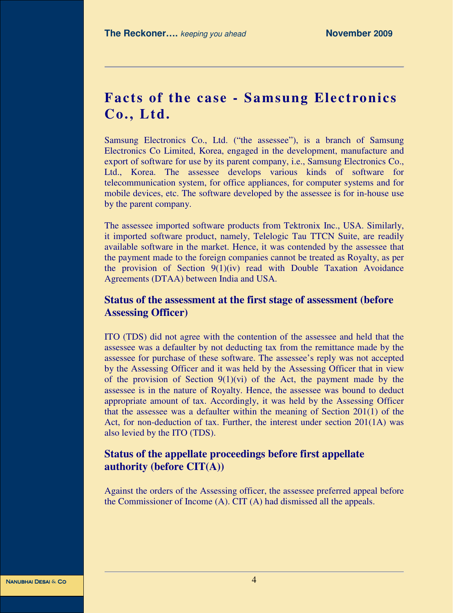# **Facts of the case - Samsung Electronics Co., Ltd.**

Samsung Electronics Co., Ltd. ("the assessee"), is a branch of Samsung Electronics Co Limited, Korea, engaged in the development, manufacture and export of software for use by its parent company, i.e., Samsung Electronics Co., Ltd., Korea. The assessee develops various kinds of software for telecommunication system, for office appliances, for computer systems and for mobile devices, etc. The software developed by the assessee is for in-house use by the parent company.

The assessee imported software products from Tektronix Inc., USA. Similarly, it imported software product, namely, Telelogic Tau TTCN Suite, are readily available software in the market. Hence, it was contended by the assessee that the payment made to the foreign companies cannot be treated as Royalty, as per the provision of Section  $9(1)(iv)$  read with Double Taxation Avoidance Agreements (DTAA) between India and USA.

# **Status of the assessment at the first stage of assessment (before Assessing Officer)**

ITO (TDS) did not agree with the contention of the assessee and held that the assessee was a defaulter by not deducting tax from the remittance made by the assessee for purchase of these software. The assessee's reply was not accepted by the Assessing Officer and it was held by the Assessing Officer that in view of the provision of Section  $9(1)(vi)$  of the Act, the payment made by the assessee is in the nature of Royalty. Hence, the assessee was bound to deduct appropriate amount of tax. Accordingly, it was held by the Assessing Officer that the assessee was a defaulter within the meaning of Section  $201(1)$  of the Act, for non-deduction of tax. Further, the interest under section 201(1A) was also levied by the ITO (TDS).

# **Status of the appellate proceedings before first appellate authority (before CIT(A))**

Against the orders of the Assessing officer, the assessee preferred appeal before the Commissioner of Income (A). CIT (A) had dismissed all the appeals.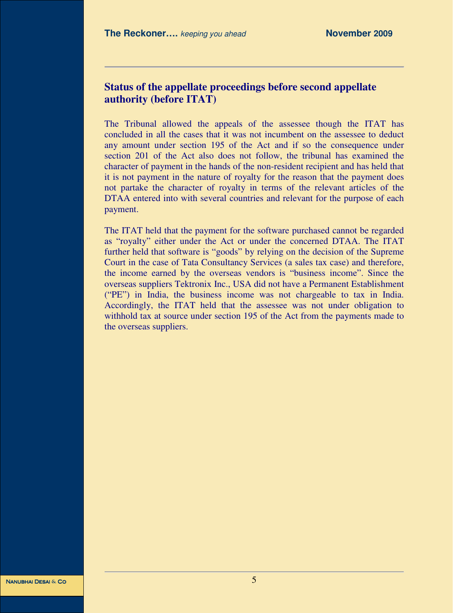## **Status of the appellate proceedings before second appellate authority (before ITAT)**

The Tribunal allowed the appeals of the assessee though the ITAT has concluded in all the cases that it was not incumbent on the assessee to deduct any amount under section 195 of the Act and if so the consequence under section 201 of the Act also does not follow, the tribunal has examined the character of payment in the hands of the non-resident recipient and has held that it is not payment in the nature of royalty for the reason that the payment does not partake the character of royalty in terms of the relevant articles of the DTAA entered into with several countries and relevant for the purpose of each payment.

The ITAT held that the payment for the software purchased cannot be regarded as "royalty" either under the Act or under the concerned DTAA. The ITAT further held that software is "goods" by relying on the decision of the Supreme Court in the case of Tata Consultancy Services (a sales tax case) and therefore, the income earned by the overseas vendors is "business income". Since the overseas suppliers Tektronix Inc., USA did not have a Permanent Establishment ("PE") in India, the business income was not chargeable to tax in India. Accordingly, the ITAT held that the assessee was not under obligation to withhold tax at source under section 195 of the Act from the payments made to the overseas suppliers.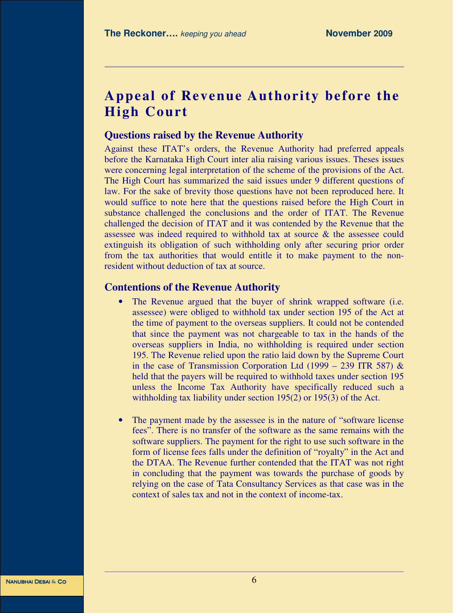# **Appeal of Revenue Authority before the High Court**

### **Questions raised by the Revenue Authority**

Against these ITAT's orders, the Revenue Authority had preferred appeals before the Karnataka High Court inter alia raising various issues. Theses issues were concerning legal interpretation of the scheme of the provisions of the Act. The High Court has summarized the said issues under 9 different questions of law. For the sake of brevity those questions have not been reproduced here. It would suffice to note here that the questions raised before the High Court in substance challenged the conclusions and the order of ITAT. The Revenue challenged the decision of ITAT and it was contended by the Revenue that the assessee was indeed required to withhold tax at source & the assessee could extinguish its obligation of such withholding only after securing prior order from the tax authorities that would entitle it to make payment to the nonresident without deduction of tax at source.

### **Contentions of the Revenue Authority**

- The Revenue argued that the buyer of shrink wrapped software (i.e. assessee) were obliged to withhold tax under section 195 of the Act at the time of payment to the overseas suppliers. It could not be contended that since the payment was not chargeable to tax in the hands of the overseas suppliers in India, no withholding is required under section 195. The Revenue relied upon the ratio laid down by the Supreme Court in the case of Transmission Corporation Ltd (1999 – 239 ITR 587)  $\&$ held that the payers will be required to withhold taxes under section 195 unless the Income Tax Authority have specifically reduced such a withholding tax liability under section 195(2) or 195(3) of the Act.
- The payment made by the assessee is in the nature of "software license" fees". There is no transfer of the software as the same remains with the software suppliers. The payment for the right to use such software in the form of license fees falls under the definition of "royalty" in the Act and the DTAA. The Revenue further contended that the ITAT was not right in concluding that the payment was towards the purchase of goods by relying on the case of Tata Consultancy Services as that case was in the context of sales tax and not in the context of income-tax.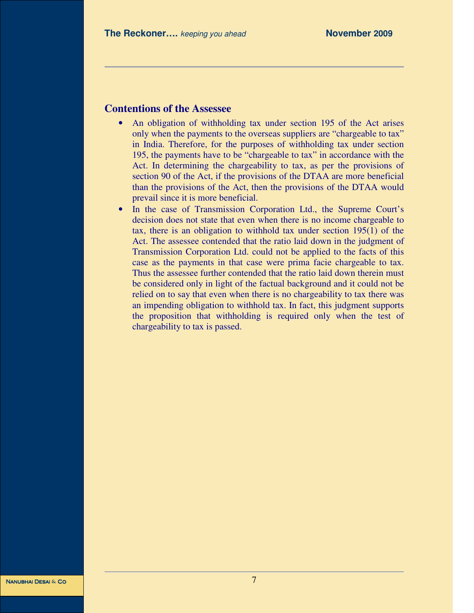# **Contentions of the Assessee**

- An obligation of withholding tax under section 195 of the Act arises only when the payments to the overseas suppliers are "chargeable to tax" in India. Therefore, for the purposes of withholding tax under section 195, the payments have to be "chargeable to tax" in accordance with the Act. In determining the chargeability to tax, as per the provisions of section 90 of the Act, if the provisions of the DTAA are more beneficial than the provisions of the Act, then the provisions of the DTAA would prevail since it is more beneficial.
- In the case of Transmission Corporation Ltd., the Supreme Court's decision does not state that even when there is no income chargeable to tax, there is an obligation to withhold tax under section 195(1) of the Act. The assessee contended that the ratio laid down in the judgment of Transmission Corporation Ltd. could not be applied to the facts of this case as the payments in that case were prima facie chargeable to tax. Thus the assessee further contended that the ratio laid down therein must be considered only in light of the factual background and it could not be relied on to say that even when there is no chargeability to tax there was an impending obligation to withhold tax. In fact, this judgment supports the proposition that withholding is required only when the test of chargeability to tax is passed.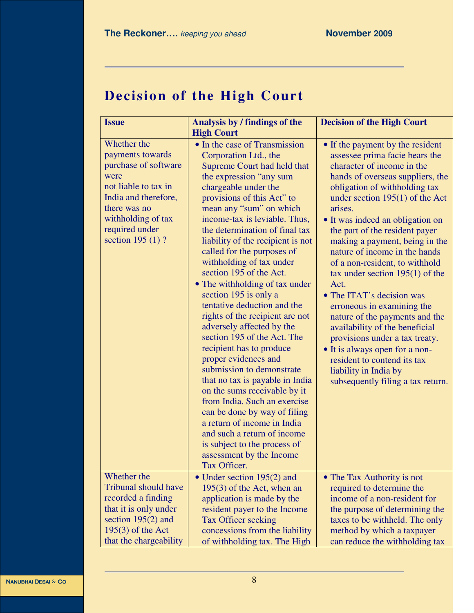# **Decision of the High Court**

| <b>Issue</b>                                                                                                                                                                                   | Analysis by / findings of the<br><b>High Court</b>                                                                                                                                                                                                                                                                                                                                                                                                                                                                                                                                                                                                                                                                                                                                                                                                                                                                                                    | <b>Decision of the High Court</b>                                                                                                                                                                                                                                                                                                                                                                                                                                                                                                                                                                                                                                                                                                             |
|------------------------------------------------------------------------------------------------------------------------------------------------------------------------------------------------|-------------------------------------------------------------------------------------------------------------------------------------------------------------------------------------------------------------------------------------------------------------------------------------------------------------------------------------------------------------------------------------------------------------------------------------------------------------------------------------------------------------------------------------------------------------------------------------------------------------------------------------------------------------------------------------------------------------------------------------------------------------------------------------------------------------------------------------------------------------------------------------------------------------------------------------------------------|-----------------------------------------------------------------------------------------------------------------------------------------------------------------------------------------------------------------------------------------------------------------------------------------------------------------------------------------------------------------------------------------------------------------------------------------------------------------------------------------------------------------------------------------------------------------------------------------------------------------------------------------------------------------------------------------------------------------------------------------------|
| Whether the<br>payments towards<br>purchase of software<br>were<br>not liable to tax in<br>India and therefore,<br>there was no<br>withholding of tax<br>required under<br>section 195 $(1)$ ? | • In the case of Transmission<br>Corporation Ltd., the<br>Supreme Court had held that<br>the expression "any sum<br>chargeable under the<br>provisions of this Act" to<br>mean any "sum" on which<br>income-tax is leviable. Thus,<br>the determination of final tax<br>liability of the recipient is not<br>called for the purposes of<br>withholding of tax under<br>section 195 of the Act.<br>• The withholding of tax under<br>section 195 is only a<br>tentative deduction and the<br>rights of the recipient are not<br>adversely affected by the<br>section 195 of the Act. The<br>recipient has to produce<br>proper evidences and<br>submission to demonstrate<br>that no tax is payable in India<br>on the sums receivable by it<br>from India. Such an exercise<br>can be done by way of filing<br>a return of income in India<br>and such a return of income<br>is subject to the process of<br>assessment by the Income<br>Tax Officer. | • If the payment by the resident<br>assessee prima facie bears the<br>character of income in the<br>hands of overseas suppliers, the<br>obligation of withholding tax<br>under section $195(1)$ of the Act<br>arises.<br>• It was indeed an obligation on<br>the part of the resident payer<br>making a payment, being in the<br>nature of income in the hands<br>of a non-resident, to withhold<br>tax under section $195(1)$ of the<br>Act.<br>• The ITAT's decision was<br>erroneous in examining the<br>nature of the payments and the<br>availability of the beneficial<br>provisions under a tax treaty.<br>• It is always open for a non-<br>resident to contend its tax<br>liability in India by<br>subsequently filing a tax return. |
| Whether the<br><b>Tribunal should have</b><br>recorded a finding<br>that it is only under<br>section $195(2)$ and<br>$195(3)$ of the Act<br>that the chargeability                             | $\bullet$ Under section 195(2) and<br>$195(3)$ of the Act, when an<br>application is made by the<br>resident payer to the Income<br>Tax Officer seeking<br>concessions from the liability<br>of withholding tax. The High                                                                                                                                                                                                                                                                                                                                                                                                                                                                                                                                                                                                                                                                                                                             | • The Tax Authority is not<br>required to determine the<br>income of a non-resident for<br>the purpose of determining the<br>taxes to be withheld. The only<br>method by which a taxpayer<br>can reduce the withholding tax                                                                                                                                                                                                                                                                                                                                                                                                                                                                                                                   |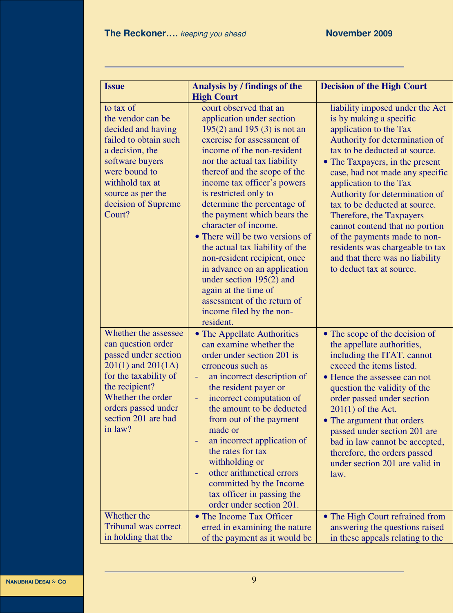| <b>Issue</b>                                                                                                                                                                                                          | Analysis by / findings of the<br><b>High Court</b>                                                                                                                                                                                                                                                                                                                                                                                                                                                                                                                                                                                   | <b>Decision of the High Court</b>                                                                                                                                                                                                                                                                                                                                                                                                                                                                                          |
|-----------------------------------------------------------------------------------------------------------------------------------------------------------------------------------------------------------------------|--------------------------------------------------------------------------------------------------------------------------------------------------------------------------------------------------------------------------------------------------------------------------------------------------------------------------------------------------------------------------------------------------------------------------------------------------------------------------------------------------------------------------------------------------------------------------------------------------------------------------------------|----------------------------------------------------------------------------------------------------------------------------------------------------------------------------------------------------------------------------------------------------------------------------------------------------------------------------------------------------------------------------------------------------------------------------------------------------------------------------------------------------------------------------|
| to tax of<br>the vendor can be<br>decided and having<br>failed to obtain such<br>a decision, the<br>software buyers<br>were bound to<br>withhold tax at<br>source as per the<br>decision of Supreme<br>Court?         | court observed that an<br>application under section<br>$195(2)$ and $195(3)$ is not an<br>exercise for assessment of<br>income of the non-resident<br>nor the actual tax liability<br>thereof and the scope of the<br>income tax officer's powers<br>is restricted only to<br>determine the percentage of<br>the payment which bears the<br>character of income.<br>• There will be two versions of<br>the actual tax liability of the<br>non-resident recipient, once<br>in advance on an application<br>under section $195(2)$ and<br>again at the time of<br>assessment of the return of<br>income filed by the non-<br>resident. | liability imposed under the Act<br>is by making a specific<br>application to the Tax<br>Authority for determination of<br>tax to be deducted at source.<br>• The Taxpayers, in the present<br>case, had not made any specific<br>application to the Tax<br>Authority for determination of<br>tax to be deducted at source.<br>Therefore, the Taxpayers<br>cannot contend that no portion<br>of the payments made to non-<br>residents was chargeable to tax<br>and that there was no liability<br>to deduct tax at source. |
| Whether the assessee<br>can question order<br>passed under section<br>$201(1)$ and $201(1A)$<br>for the taxability of<br>the recipient?<br>Whether the order<br>orders passed under<br>section 201 are bad<br>in law? | • The Appellate Authorities<br>can examine whether the<br>order under section 201 is<br>erroneous such as<br>an incorrect description of<br>÷<br>the resident payer or<br>incorrect computation of<br>Ξ<br>the amount to be deducted<br>from out of the payment<br>made or<br>an incorrect application of<br>the rates for tax<br>withholding or<br>other arithmetical errors<br>committed by the Income<br>tax officer in passing the<br>order under section 201.                                                                                                                                                                   | • The scope of the decision of<br>the appellate authorities,<br>including the ITAT, cannot<br>exceed the items listed.<br>• Hence the assessee can not<br>question the validity of the<br>order passed under section<br>$201(1)$ of the Act.<br>• The argument that orders<br>passed under section 201 are<br>bad in law cannot be accepted,<br>therefore, the orders passed<br>under section 201 are valid in<br>law.                                                                                                     |
| Whether the<br><b>Tribunal was correct</b><br>in holding that the                                                                                                                                                     | • The Income Tax Officer<br>erred in examining the nature<br>of the payment as it would be                                                                                                                                                                                                                                                                                                                                                                                                                                                                                                                                           | • The High Court refrained from<br>answering the questions raised<br>in these appeals relating to the                                                                                                                                                                                                                                                                                                                                                                                                                      |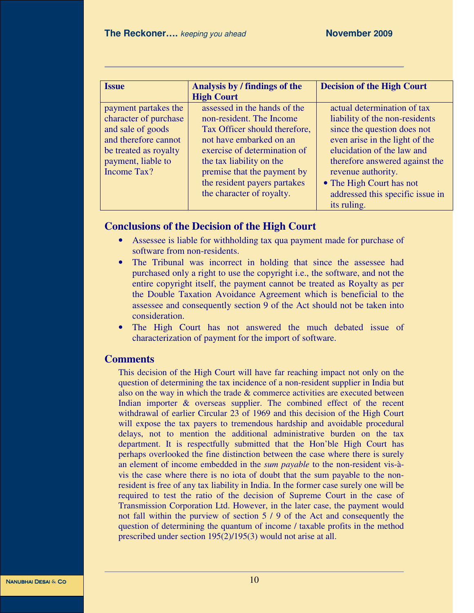| <b>Issue</b>                                                                                                                                             | Analysis by / findings of the<br><b>High Court</b>                                                                                                                                                                                                                           | <b>Decision of the High Court</b>                                                                                                                                                                                                                                                                   |
|----------------------------------------------------------------------------------------------------------------------------------------------------------|------------------------------------------------------------------------------------------------------------------------------------------------------------------------------------------------------------------------------------------------------------------------------|-----------------------------------------------------------------------------------------------------------------------------------------------------------------------------------------------------------------------------------------------------------------------------------------------------|
| payment partakes the<br>character of purchase<br>and sale of goods<br>and therefore cannot<br>be treated as royalty<br>payment, liable to<br>Income Tax? | assessed in the hands of the<br>non-resident. The Income<br>Tax Officer should therefore,<br>not have embarked on an<br>exercise of determination of<br>the tax liability on the<br>premise that the payment by<br>the resident payers partakes<br>the character of royalty. | actual determination of tax<br>liability of the non-residents<br>since the question does not<br>even arise in the light of the<br>elucidation of the law and<br>therefore answered against the<br>revenue authority.<br>• The High Court has not<br>addressed this specific issue in<br>its ruling. |

# **Conclusions of the Decision of the High Court**

- Assessee is liable for withholding tax qua payment made for purchase of software from non-residents.
- The Tribunal was incorrect in holding that since the assessee had purchased only a right to use the copyright i.e., the software, and not the entire copyright itself, the payment cannot be treated as Royalty as per the Double Taxation Avoidance Agreement which is beneficial to the assessee and consequently section 9 of the Act should not be taken into consideration.
- The High Court has not answered the much debated issue of characterization of payment for the import of software.

### **Comments**

This decision of the High Court will have far reaching impact not only on the question of determining the tax incidence of a non-resident supplier in India but also on the way in which the trade & commerce activities are executed between Indian importer & overseas supplier. The combined effect of the recent withdrawal of earlier Circular 23 of 1969 and this decision of the High Court will expose the tax payers to tremendous hardship and avoidable procedural delays, not to mention the additional administrative burden on the tax department. It is respectfully submitted that the Hon'ble High Court has perhaps overlooked the fine distinction between the case where there is surely an element of income embedded in the *sum payable* to the non-resident vis-àvis the case where there is no iota of doubt that the sum payable to the nonresident is free of any tax liability in India. In the former case surely one will be required to test the ratio of the decision of Supreme Court in the case of Transmission Corporation Ltd. However, in the later case, the payment would not fall within the purview of section 5 / 9 of the Act and consequently the question of determining the quantum of income / taxable profits in the method prescribed under section 195(2)/195(3) would not arise at all.